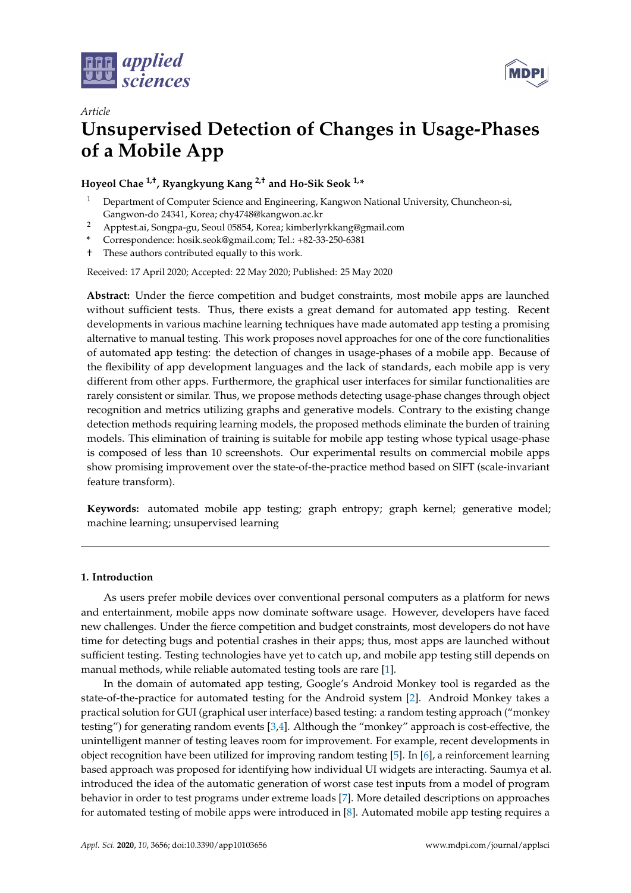



# *Article* **Unsupervised Detection of Changes in Usage-Phases of a Mobile App**

**Hoyeol Chae 1,†, Ryangkyung Kang 2,† and Ho-Sik Seok 1,\***

- <sup>1</sup> Department of Computer Science and Engineering, Kangwon National University, Chuncheon-si, Gangwon-do 24341, Korea; chy4748@kangwon.ac.kr
- <sup>2</sup> Apptest.ai, Songpa-gu, Seoul 05854, Korea; kimberlyrkkang@gmail.com
- **\*** Correspondence: hosik.seok@gmail.com; Tel.: +82-33-250-6381
- † These authors contributed equally to this work.

Received: 17 April 2020; Accepted: 22 May 2020; Published: 25 May 2020

**Abstract:** Under the fierce competition and budget constraints, most mobile apps are launched without sufficient tests. Thus, there exists a great demand for automated app testing. Recent developments in various machine learning techniques have made automated app testing a promising alternative to manual testing. This work proposes novel approaches for one of the core functionalities of automated app testing: the detection of changes in usage-phases of a mobile app. Because of the flexibility of app development languages and the lack of standards, each mobile app is very different from other apps. Furthermore, the graphical user interfaces for similar functionalities are rarely consistent or similar. Thus, we propose methods detecting usage-phase changes through object recognition and metrics utilizing graphs and generative models. Contrary to the existing change detection methods requiring learning models, the proposed methods eliminate the burden of training models. This elimination of training is suitable for mobile app testing whose typical usage-phase is composed of less than 10 screenshots. Our experimental results on commercial mobile apps show promising improvement over the state-of-the-practice method based on SIFT (scale-invariant feature transform).

**Keywords:** automated mobile app testing; graph entropy; graph kernel; generative model; machine learning; unsupervised learning

# **1. Introduction**

As users prefer mobile devices over conventional personal computers as a platform for news and entertainment, mobile apps now dominate software usage. However, developers have faced new challenges. Under the fierce competition and budget constraints, most developers do not have time for detecting bugs and potential crashes in their apps; thus, most apps are launched without sufficient testing. Testing technologies have yet to catch up, and mobile app testing still depends on manual methods, while reliable automated testing tools are rare [\[1\]](#page-12-0).

In the domain of automated app testing, Google's Android Monkey tool is regarded as the state-of-the-practice for automated testing for the Android system [\[2\]](#page-12-1). Android Monkey takes a practical solution for GUI (graphical user interface) based testing: a random testing approach ("monkey testing") for generating random events [\[3](#page-12-2)[,4\]](#page-12-3). Although the "monkey" approach is cost-effective, the unintelligent manner of testing leaves room for improvement. For example, recent developments in object recognition have been utilized for improving random testing [\[5\]](#page-12-4). In [\[6\]](#page-13-0), a reinforcement learning based approach was proposed for identifying how individual UI widgets are interacting. Saumya et al. introduced the idea of the automatic generation of worst case test inputs from a model of program behavior in order to test programs under extreme loads [\[7\]](#page-13-1). More detailed descriptions on approaches for automated testing of mobile apps were introduced in [\[8\]](#page-13-2). Automated mobile app testing requires a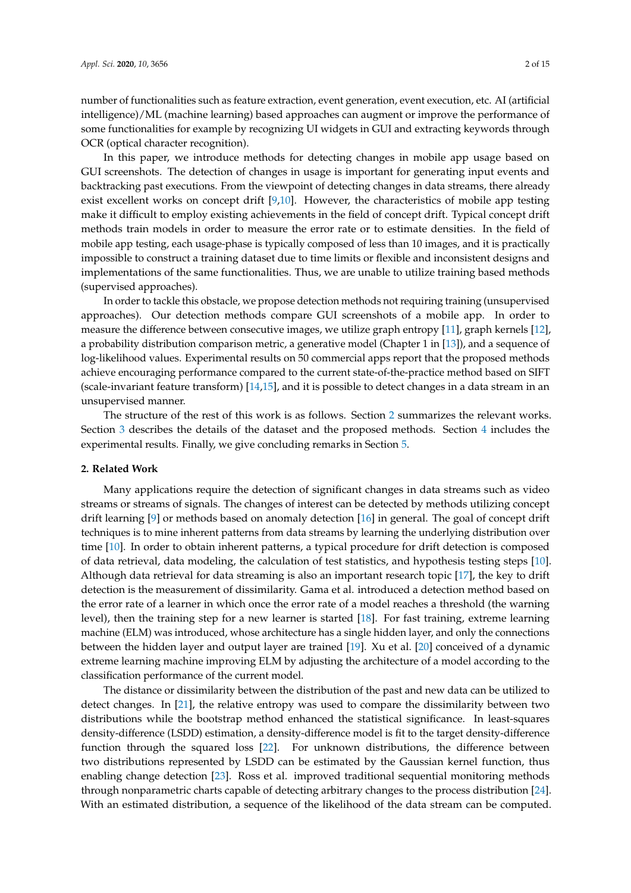number of functionalities such as feature extraction, event generation, event execution, etc. AI (artificial intelligence)/ML (machine learning) based approaches can augment or improve the performance of some functionalities for example by recognizing UI widgets in GUI and extracting keywords through OCR (optical character recognition).

In this paper, we introduce methods for detecting changes in mobile app usage based on GUI screenshots. The detection of changes in usage is important for generating input events and backtracking past executions. From the viewpoint of detecting changes in data streams, there already exist excellent works on concept drift [\[9,](#page-13-3)[10\]](#page-13-4). However, the characteristics of mobile app testing make it difficult to employ existing achievements in the field of concept drift. Typical concept drift methods train models in order to measure the error rate or to estimate densities. In the field of mobile app testing, each usage-phase is typically composed of less than 10 images, and it is practically impossible to construct a training dataset due to time limits or flexible and inconsistent designs and implementations of the same functionalities. Thus, we are unable to utilize training based methods (supervised approaches).

In order to tackle this obstacle, we propose detection methods not requiring training (unsupervised approaches). Our detection methods compare GUI screenshots of a mobile app. In order to measure the difference between consecutive images, we utilize graph entropy [\[11\]](#page-13-5), graph kernels [\[12\]](#page-13-6), a probability distribution comparison metric, a generative model (Chapter 1 in [\[13\]](#page-13-7)), and a sequence of log-likelihood values. Experimental results on 50 commercial apps report that the proposed methods achieve encouraging performance compared to the current state-of-the-practice method based on SIFT (scale-invariant feature transform) [\[14](#page-13-8)[,15\]](#page-13-9), and it is possible to detect changes in a data stream in an unsupervised manner.

The structure of the rest of this work is as follows. Section [2](#page-1-0) summarizes the relevant works. Section [3](#page-2-0) describes the details of the dataset and the proposed methods. Section [4](#page-7-0) includes the experimental results. Finally, we give concluding remarks in Section [5.](#page-11-0)

# <span id="page-1-0"></span>**2. Related Work**

Many applications require the detection of significant changes in data streams such as video streams or streams of signals. The changes of interest can be detected by methods utilizing concept drift learning [\[9\]](#page-13-3) or methods based on anomaly detection [\[16\]](#page-13-10) in general. The goal of concept drift techniques is to mine inherent patterns from data streams by learning the underlying distribution over time [\[10\]](#page-13-4). In order to obtain inherent patterns, a typical procedure for drift detection is composed of data retrieval, data modeling, the calculation of test statistics, and hypothesis testing steps [\[10\]](#page-13-4). Although data retrieval for data streaming is also an important research topic [\[17\]](#page-13-11), the key to drift detection is the measurement of dissimilarity. Gama et al. introduced a detection method based on the error rate of a learner in which once the error rate of a model reaches a threshold (the warning level), then the training step for a new learner is started [\[18\]](#page-13-12). For fast training, extreme learning machine (ELM) was introduced, whose architecture has a single hidden layer, and only the connections between the hidden layer and output layer are trained [\[19\]](#page-13-13). Xu et al. [\[20\]](#page-13-14) conceived of a dynamic extreme learning machine improving ELM by adjusting the architecture of a model according to the classification performance of the current model.

The distance or dissimilarity between the distribution of the past and new data can be utilized to detect changes. In [\[21\]](#page-13-15), the relative entropy was used to compare the dissimilarity between two distributions while the bootstrap method enhanced the statistical significance. In least-squares density-difference (LSDD) estimation, a density-difference model is fit to the target density-difference function through the squared loss [\[22\]](#page-13-16). For unknown distributions, the difference between two distributions represented by LSDD can be estimated by the Gaussian kernel function, thus enabling change detection [\[23\]](#page-13-17). Ross et al. improved traditional sequential monitoring methods through nonparametric charts capable of detecting arbitrary changes to the process distribution [\[24\]](#page-13-18). With an estimated distribution, a sequence of the likelihood of the data stream can be computed.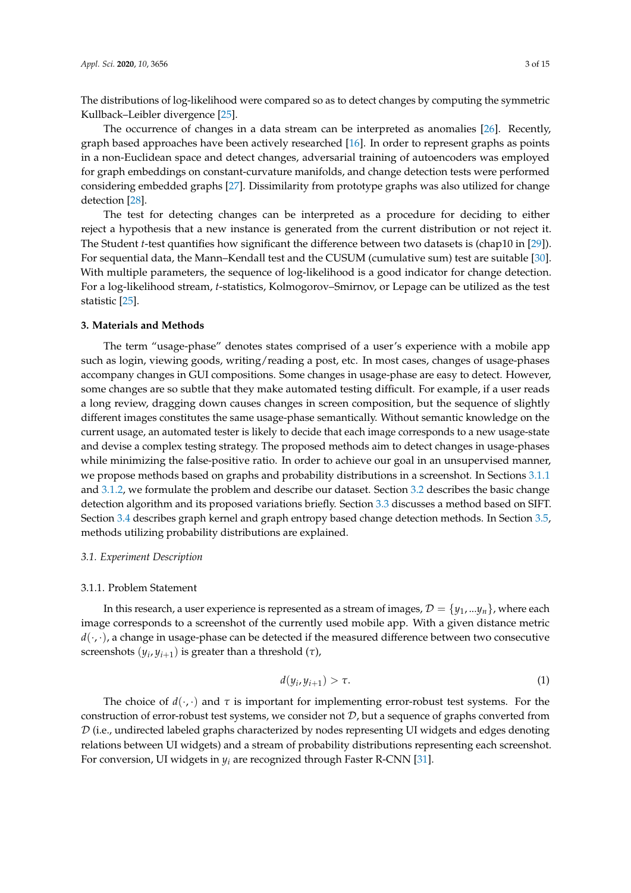The distributions of log-likelihood were compared so as to detect changes by computing the symmetric Kullback–Leibler divergence [\[25\]](#page-13-19).

The occurrence of changes in a data stream can be interpreted as anomalies [\[26\]](#page-13-20). Recently, graph based approaches have been actively researched [\[16\]](#page-13-10). In order to represent graphs as points in a non-Euclidean space and detect changes, adversarial training of autoencoders was employed for graph embeddings on constant-curvature manifolds, and change detection tests were performed considering embedded graphs [\[27\]](#page-13-21). Dissimilarity from prototype graphs was also utilized for change detection [\[28\]](#page-13-22).

The test for detecting changes can be interpreted as a procedure for deciding to either reject a hypothesis that a new instance is generated from the current distribution or not reject it. The Student *t*-test quantifies how significant the difference between two datasets is (chap10 in [\[29\]](#page-13-23)). For sequential data, the Mann–Kendall test and the CUSUM (cumulative sum) test are suitable [\[30\]](#page-13-24). With multiple parameters, the sequence of log-likelihood is a good indicator for change detection. For a log-likelihood stream, *t*-statistics, Kolmogorov–Smirnov, or Lepage can be utilized as the test statistic [\[25\]](#page-13-19).

# <span id="page-2-0"></span>**3. Materials and Methods**

The term "usage-phase" denotes states comprised of a user's experience with a mobile app such as login, viewing goods, writing/reading a post, etc. In most cases, changes of usage-phases accompany changes in GUI compositions. Some changes in usage-phase are easy to detect. However, some changes are so subtle that they make automated testing difficult. For example, if a user reads a long review, dragging down causes changes in screen composition, but the sequence of slightly different images constitutes the same usage-phase semantically. Without semantic knowledge on the current usage, an automated tester is likely to decide that each image corresponds to a new usage-state and devise a complex testing strategy. The proposed methods aim to detect changes in usage-phases while minimizing the false-positive ratio. In order to achieve our goal in an unsupervised manner, we propose methods based on graphs and probability distributions in a screenshot. In Sections [3.1.1](#page-2-1) and [3.1.2,](#page-3-0) we formulate the problem and describe our dataset. Section [3.2](#page-3-1) describes the basic change detection algorithm and its proposed variations briefly. Section [3.3](#page-4-0) discusses a method based on SIFT. Section [3.4](#page-5-0) describes graph kernel and graph entropy based change detection methods. In Section [3.5,](#page-5-1) methods utilizing probability distributions are explained.

## *3.1. Experiment Description*

#### <span id="page-2-1"></span>3.1.1. Problem Statement

In this research, a user experience is represented as a stream of images,  $\mathcal{D} = \{y_1, ..., y_n\}$ , where each image corresponds to a screenshot of the currently used mobile app. With a given distance metric  $d(\cdot, \cdot)$ , a change in usage-phase can be detected if the measured difference between two consecutive screenshots  $(y_i, y_{i+1})$  is greater than a threshold  $(\tau)$ ,

<span id="page-2-2"></span>
$$
d(y_i, y_{i+1}) > \tau. \tag{1}
$$

The choice of  $d(\cdot, \cdot)$  and  $\tau$  is important for implementing error-robust test systems. For the construction of error-robust test systems, we consider not  $D$ , but a sequence of graphs converted from  $D$  (i.e., undirected labeled graphs characterized by nodes representing UI widgets and edges denoting relations between UI widgets) and a stream of probability distributions representing each screenshot. For conversion, UI widgets in *y<sup>i</sup>* are recognized through Faster R-CNN [\[31\]](#page-14-0).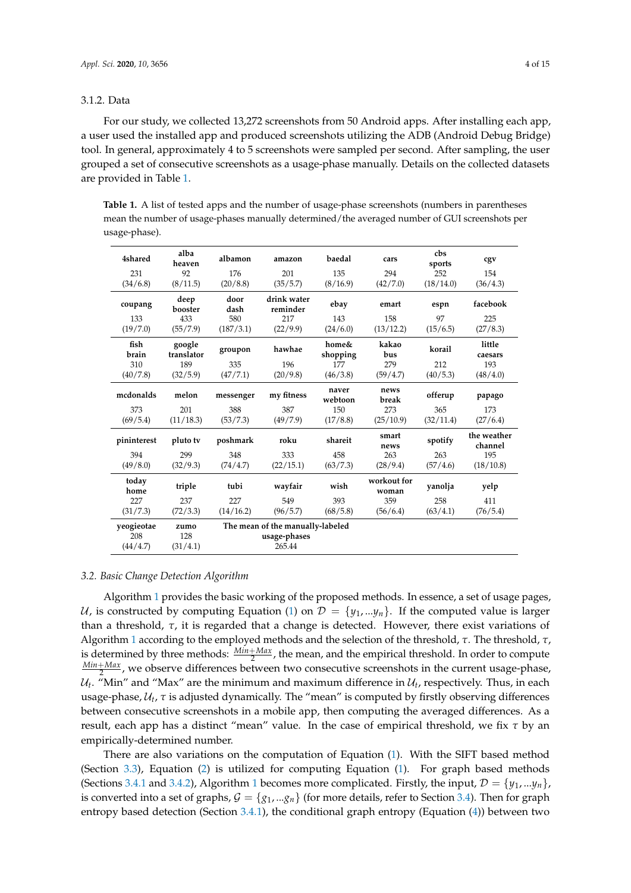# <span id="page-3-0"></span>3.1.2. Data

For our study, we collected 13,272 screenshots from 50 Android apps. After installing each app, a user used the installed app and produced screenshots utilizing the ADB (Android Debug Bridge) tool. In general, approximately 4 to 5 screenshots were sampled per second. After sampling, the user grouped a set of consecutive screenshots as a usage-phase manually. Details on the collected datasets are provided in Table [1.](#page-3-2)

<span id="page-3-2"></span>**Table 1.** A list of tested apps and the number of usage-phase screenshots (numbers in parentheses mean the number of usage-phases manually determined/the averaged number of GUI screenshots per usage-phase).

| 4shared                       | alba<br>heaven          | albamon      | amazon                                                     | baedal            | cars                 | cbs<br>sports | cgv                    |
|-------------------------------|-------------------------|--------------|------------------------------------------------------------|-------------------|----------------------|---------------|------------------------|
| 231                           | 92                      | 176          | 201                                                        | 135               | 294                  | 252           | 154                    |
| (34/6.8)                      | (8/11.5)                | (20/8.8)     | (35/5.7)                                                   | (8/16.9)          | (42/7.0)             | (18/14.0)     | (36/4.3)               |
| coupang                       | deep<br>booster         | door<br>dash | drink water<br>reminder                                    | ebay              | emart                | espn          | facebook               |
| 133                           | 433                     | 580          | 217                                                        | 143               | 158                  | 97            | 225                    |
| (19/7.0)                      | (55/7.9)                | (187/3.1)    | (22/9.9)                                                   | (24/6.0)          | (13/12.2)            | (15/6.5)      | (27/8.3)               |
| fish<br>brain                 | google<br>translator    | groupon      | hawhae                                                     | home&<br>shopping | kakao<br>bus         | korail        | little<br>caesars      |
| 310                           | 189                     | 335          | 196                                                        | 177               | 279                  | 212           | 193                    |
| (40/7.8)                      | (32/5.9)                | (47/7.1)     | (20/9.8)                                                   | (46/3.8)          | (59/4.7)             | (40/5.3)      | (48/4.0)               |
| mcdonalds                     | melon                   | messenger    | my fitness                                                 | naver<br>webtoon  | news<br>break        | offerup       | papago                 |
| 373                           | 201                     | 388          | 387                                                        | 150               | 273                  | 365           | 173                    |
| (69/5.4)                      | (11/18.3)               | (53/7.3)     | (49/7.9)                                                   | (17/8.8)          | (25/10.9)            | (32/11.4)     | (27/6.4)               |
| pininterest                   | pluto tv                | poshmark     | roku                                                       | shareit           | smart<br>news        | spotify       | the weather<br>channel |
| 394                           | 299                     | 348          | 333                                                        | 458               | 263                  | 263           | 195                    |
| (49/8.0)                      | (32/9.3)                | (74/4.7)     | (22/15.1)                                                  | (63/7.3)          | (28/9.4)             | (57/4.6)      | (18/10.8)              |
| today<br>home                 | triple                  | tubi         | wayfair                                                    | wish              | workout for<br>woman | yanolja       | yelp                   |
| 227                           | 237                     | 227          | 549                                                        | 393               | 359                  | 258           | 411                    |
| (31/7.3)                      | (72/3.3)                | (14/16.2)    | (96/5.7)                                                   | (68/5.8)          | (56/6.4)             | (63/4.1)      | (76/5.4)               |
| yeogieotae<br>208<br>(44/4.7) | zumo<br>128<br>(31/4.1) |              | The mean of the manually-labeled<br>usage-phases<br>265.44 |                   |                      |               |                        |

# <span id="page-3-1"></span>*3.2. Basic Change Detection Algorithm*

Algorithm [1](#page-4-1) provides the basic working of the proposed methods. In essence, a set of usage pages, U, is constructed by computing Equation [\(1\)](#page-2-2) on  $\mathcal{D} = \{y_1, ..., y_n\}$ . If the computed value is larger than a threshold, *τ*, it is regarded that a change is detected. However, there exist variations of Algorithm [1](#page-4-1) according to the employed methods and the selection of the threshold, *τ*. The threshold, *τ*, is determined by three methods:  $\frac{Min+Max}{2}$ , the mean, and the empirical threshold. In order to compute *Min*+*Max* 2 , we observe differences between two consecutive screenshots in the current usage-phase,  $\mathcal{U}_t$ . "Min" and "Max" are the minimum and maximum difference in  $\mathcal{U}_t$ , respectively. Thus, in each usage-phase,  $U_t$ , τ is adjusted dynamically. The "mean" is computed by firstly observing differences between consecutive screenshots in a mobile app, then computing the averaged differences. As a result, each app has a distinct "mean" value. In the case of empirical threshold, we fix *τ* by an empirically-determined number.

There are also variations on the computation of Equation [\(1\)](#page-2-2). With the SIFT based method (Section [3.3\)](#page-4-0), Equation [\(2\)](#page-4-2) is utilized for computing Equation [\(1\)](#page-2-2). For graph based methods (Sections [3.4.1](#page-5-2) and [3.4.2\)](#page-5-3), Algorithm [1](#page-4-1) becomes more complicated. Firstly, the input,  $\mathcal{D} = \{y_1, \ldots, y_n\}$ , is converted into a set of graphs,  $G = \{g_1, \ldots, g_n\}$  (for more details, refer to Section [3.4\)](#page-5-0). Then for graph entropy based detection (Section [3.4.1\)](#page-5-2), the conditional graph entropy (Equation [\(4\)](#page-5-4)) between two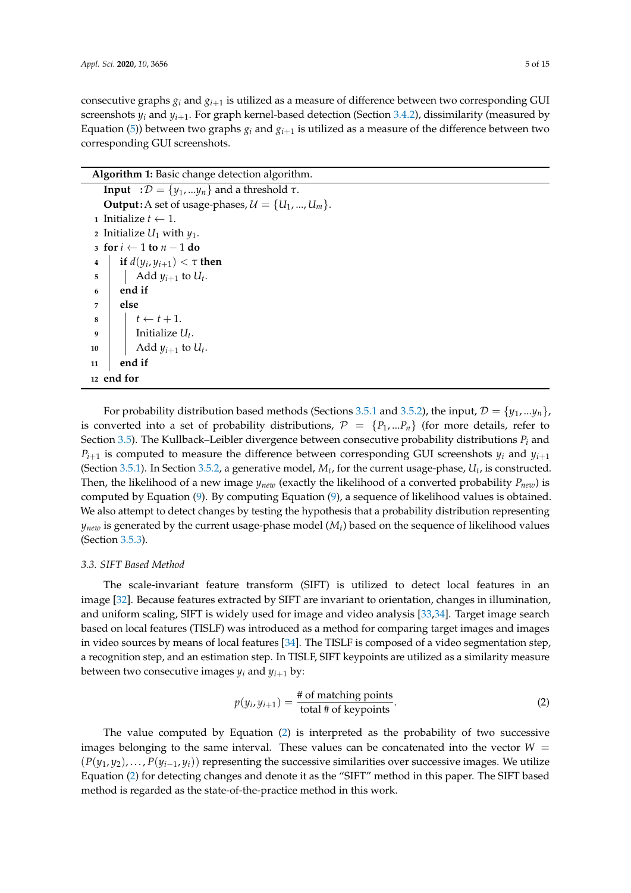consecutive graphs  $g_i$  and  $g_{i+1}$  is utilized as a measure of difference between two corresponding GUI screenshots  $y_i$  and  $y_{i+1}$ . For graph kernel-based detection (Section [3.4.2\)](#page-5-3), dissimilarity (measured by Equation [\(5\)](#page-5-5)) between two graphs  $g_i$  and  $g_{i+1}$  is utilized as a measure of the difference between two corresponding GUI screenshots.

<span id="page-4-1"></span>

| Algorithm 1: Basic change detection algorithm.                         |
|------------------------------------------------------------------------|
| <b>Input</b> : $\mathcal{D} = \{y_1,  y_n\}$ and a threshold $\tau$ .  |
| <b>Output:</b> A set of usage-phases, $\mathcal{U} = \{U_1, , U_m\}$ . |
| 1 Initialize $t \leftarrow 1$ .                                        |
| 2 Initialize $U_1$ with $y_1$ .                                        |
| 3 for $i \leftarrow 1$ to $n-1$ do                                     |
| if $d(y_i, y_{i+1}) < \tau$ then<br>$\overline{\mathbf{4}}$            |
| Add $y_{i+1}$ to $U_t$ .<br>$\overline{5}$                             |
| end if<br>6                                                            |
| else<br>7                                                              |
| $t \leftarrow t + 1.$<br>8                                             |
| Initialize $U_t$ .<br>q                                                |
| Add $y_{i+1}$ to $U_t$ .<br>10                                         |
| end if<br>11                                                           |
| 12 end for                                                             |

For probability distribution based methods (Sections [3.5.1](#page-6-0) and [3.5.2\)](#page-6-1), the input,  $\mathcal{D} = \{y_1, \ldots y_n\}$ , is converted into a set of probability distributions,  $\mathcal{P} = \{P_1, ... P_n\}$  (for more details, refer to Section [3.5\)](#page-5-1). The Kullback–Leibler divergence between consecutive probability distributions  $P_i$  and  $P_{i+1}$  is computed to measure the difference between corresponding GUI screenshots  $y_i$  and  $y_{i+1}$ (Section [3.5.1\)](#page-6-0). In Section [3.5.2,](#page-6-1) a generative model,  $M_t$ , for the current usage-phase,  $U_t$ , is constructed. Then, the likelihood of a new image  $y_{new}$  (exactly the likelihood of a converted probability  $P_{new}$ ) is computed by Equation [\(9\)](#page-6-2). By computing Equation [\(9\)](#page-6-2), a sequence of likelihood values is obtained. We also attempt to detect changes by testing the hypothesis that a probability distribution representing  $y_{new}$  is generated by the current usage-phase model  $(M_t)$  based on the sequence of likelihood values (Section [3.5.3\)](#page-6-3).

# <span id="page-4-0"></span>*3.3. SIFT Based Method*

The scale-invariant feature transform (SIFT) is utilized to detect local features in an image [\[32\]](#page-14-1). Because features extracted by SIFT are invariant to orientation, changes in illumination, and uniform scaling, SIFT is widely used for image and video analysis [\[33](#page-14-2)[,34\]](#page-14-3). Target image search based on local features (TISLF) was introduced as a method for comparing target images and images in video sources by means of local features [\[34\]](#page-14-3). The TISLF is composed of a video segmentation step, a recognition step, and an estimation step. In TISLF, SIFT keypoints are utilized as a similarity measure between two consecutive images  $y_i$  and  $y_{i+1}$  by:

<span id="page-4-2"></span>
$$
p(y_i, y_{i+1}) = \frac{\text{# of matching points}}{\text{total # of keypoints}}.
$$
 (2)

The value computed by Equation [\(2\)](#page-4-2) is interpreted as the probability of two successive images belonging to the same interval. These values can be concatenated into the vector  $W =$  $(P(y_1, y_2), \ldots, P(y_{i-1}, y_i))$  representing the successive similarities over successive images. We utilize Equation [\(2\)](#page-4-2) for detecting changes and denote it as the "SIFT" method in this paper. The SIFT based method is regarded as the state-of-the-practice method in this work.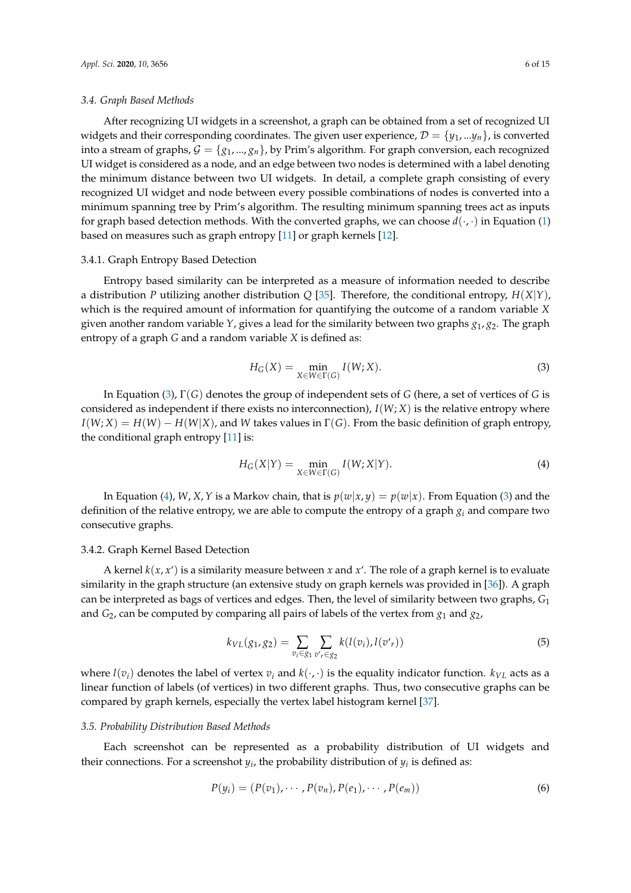#### <span id="page-5-0"></span>*3.4. Graph Based Methods*

After recognizing UI widgets in a screenshot, a graph can be obtained from a set of recognized UI widgets and their corresponding coordinates. The given user experience,  $\mathcal{D} = \{y_1, \ldots, y_n\}$ , is converted into a stream of graphs,  $G = \{g_1, ..., g_n\}$ , by Prim's algorithm. For graph conversion, each recognized UI widget is considered as a node, and an edge between two nodes is determined with a label denoting the minimum distance between two UI widgets. In detail, a complete graph consisting of every recognized UI widget and node between every possible combinations of nodes is converted into a minimum spanning tree by Prim's algorithm. The resulting minimum spanning trees act as inputs for graph based detection methods. With the converted graphs, we can choose  $d(\cdot, \cdot)$  in Equation [\(1\)](#page-2-2) based on measures such as graph entropy [\[11\]](#page-13-5) or graph kernels [\[12\]](#page-13-6).

# <span id="page-5-2"></span>3.4.1. Graph Entropy Based Detection

Entropy based similarity can be interpreted as a measure of information needed to describe a distribution *P* utilizing another distribution *Q* [\[35\]](#page-14-4). Therefore, the conditional entropy, *H*(*X*|*Y*), which is the required amount of information for quantifying the outcome of a random variable *X* given another random variable *Y*, gives a lead for the similarity between two graphs *g*1, *g*2. The graph entropy of a graph *G* and a random variable *X* is defined as:

<span id="page-5-6"></span>
$$
H_G(X) = \min_{X \in W \in \Gamma(G)} I(W; X). \tag{3}
$$

In Equation [\(3\)](#page-5-6), Γ(*G*) denotes the group of independent sets of *G* (here, a set of vertices of *G* is considered as independent if there exists no interconnection),  $I(W; X)$  is the relative entropy where  $I(W; X) = H(W) - H(W|X)$ , and *W* takes values in  $\Gamma(G)$ . From the basic definition of graph entropy, the conditional graph entropy [\[11\]](#page-13-5) is:

<span id="page-5-4"></span>
$$
H_G(X|Y) = \min_{X \in W \in \Gamma(G)} I(W; X|Y).
$$
\n(4)

In Equation [\(4\)](#page-5-4), *W*, *X*, *Y* is a Markov chain, that is  $p(w|x, y) = p(w|x)$ . From Equation [\(3\)](#page-5-6) and the definition of the relative entropy, we are able to compute the entropy of a graph *g<sup>i</sup>* and compare two consecutive graphs.

# <span id="page-5-3"></span>3.4.2. Graph Kernel Based Detection

A kernel  $k(x, x')$  is a similarity measure between *x* and *x'*. The role of a graph kernel is to evaluate similarity in the graph structure (an extensive study on graph kernels was provided in [\[36\]](#page-14-5)). A graph can be interpreted as bags of vertices and edges. Then, the level of similarity between two graphs, *G*<sup>1</sup> and *G*2, can be computed by comparing all pairs of labels of the vertex from *g*<sup>1</sup> and *g*2,

<span id="page-5-5"></span>
$$
k_{VL}(g_1, g_2) = \sum_{v_i \in g_1} \sum_{v'_r \in g_2} k(l(v_i), l(v'_r))
$$
\n(5)

where  $l(v_i)$  denotes the label of vertex  $v_i$  and  $k(\cdot, \cdot)$  is the equality indicator function.  $k_{VL}$  acts as a linear function of labels (of vertices) in two different graphs. Thus, two consecutive graphs can be compared by graph kernels, especially the vertex label histogram kernel [\[37\]](#page-14-6).

#### <span id="page-5-1"></span>*3.5. Probability Distribution Based Methods*

Each screenshot can be represented as a probability distribution of UI widgets and their connections. For a screenshot  $y_i$ , the probability distribution of  $y_i$  is defined as:

<span id="page-5-7"></span>
$$
P(y_i) = (P(v_1), \cdots, P(v_n), P(e_1), \cdots, P(e_m))
$$
\n
$$
(6)
$$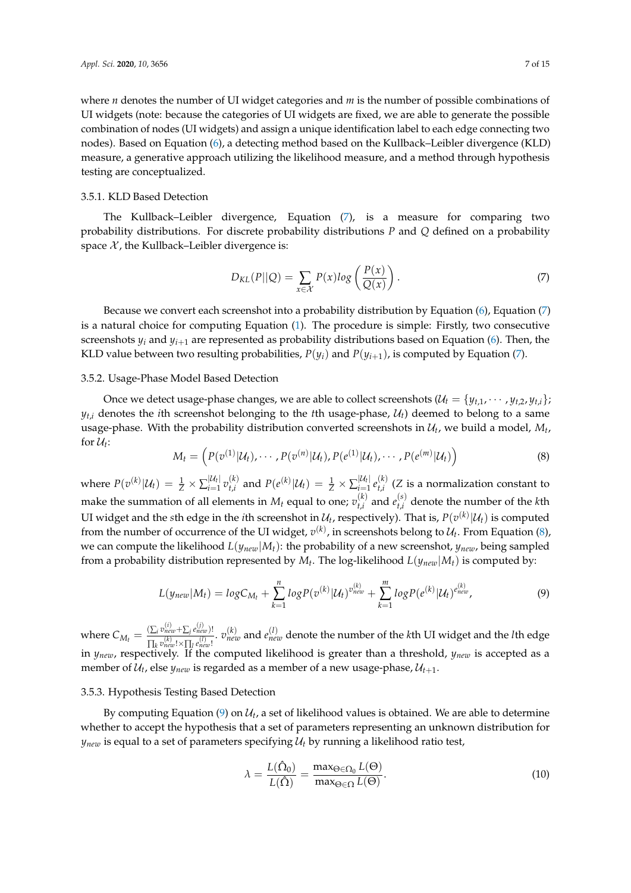where *n* denotes the number of UI widget categories and *m* is the number of possible combinations of UI widgets (note: because the categories of UI widgets are fixed, we are able to generate the possible combination of nodes (UI widgets) and assign a unique identification label to each edge connecting two nodes). Based on Equation [\(6\)](#page-5-7), a detecting method based on the Kullback–Leibler divergence (KLD) measure, a generative approach utilizing the likelihood measure, and a method through hypothesis testing are conceptualized.

# <span id="page-6-0"></span>3.5.1. KLD Based Detection

The Kullback–Leibler divergence, Equation [\(7\)](#page-6-4), is a measure for comparing two probability distributions. For discrete probability distributions *P* and *Q* defined on a probability space  $\mathcal X$ , the Kullback–Leibler divergence is:

<span id="page-6-4"></span>
$$
D_{KL}(P||Q) = \sum_{x \in \mathcal{X}} P(x) \log \left( \frac{P(x)}{Q(x)} \right). \tag{7}
$$

Because we convert each screenshot into a probability distribution by Equation [\(6\)](#page-5-7), Equation [\(7\)](#page-6-4) is a natural choice for computing Equation [\(1\)](#page-2-2). The procedure is simple: Firstly, two consecutive screenshots  $y_i$  and  $y_{i+1}$  are represented as probability distributions based on Equation [\(6\)](#page-5-7). Then, the KLD value between two resulting probabilities,  $P(y_i)$  and  $P(y_{i+1})$ , is computed by Equation [\(7\)](#page-6-4).

# <span id="page-6-1"></span>3.5.2. Usage-Phase Model Based Detection

Once we detect usage-phase changes, we are able to collect screenshots  $(U_t = {y_{t,1}, \dots, y_{t,2}, y_{t,i}})$ ;  $y_{t,i}$  denotes the *i*th screenshot belonging to the *t*th usage-phase,  $U_t$ ) deemed to belong to a same usage-phase. With the probability distribution converted screenshots in  $\mathcal{U}_t$ , we build a model,  $M_t$ , for  $\mathcal{U}_t$ :

<span id="page-6-5"></span>
$$
M_t = \left( P(v^{(1)}|\mathcal{U}_t), \cdots, P(v^{(n)}|\mathcal{U}_t), P(e^{(1)}|\mathcal{U}_t), \cdots, P(e^{(m)}|\mathcal{U}_t) \right)
$$
(8)

where  $P(v^{(k)}|\mathcal{U}_t) = \frac{1}{Z} \times \sum_{i=1}^{|\mathcal{U}_t|}$  $\left| \begin{smallmatrix} \mathcal{U}_t \| & \mathcal{U}_t \end{smallmatrix} \right|$ <br>*i*=1  $v_{t,i}^{(k)}$  $t_{t,i}^{(k)}$  and  $P(e^{(k)}|\mathcal{U}_t) = \frac{1}{Z} \times \sum_{i=1}^{|\mathcal{U}_t|}$  $\left| \begin{smallmatrix} \mathcal{U}_t & \mathcal{E} \end{smallmatrix} \right| \left. \begin{smallmatrix} \mathcal{U}_t & \mathcal{E} \end{smallmatrix} \right|$  $t_{t,i}^{(k)}$  (*Z* is a normalization constant to make the summation of all elements in  $M_t$  equal to one;  $v_{t,i}^{(k)}$  $t^{(k)}_{t,i}$  and  $e^{(s)}_{t,i}$  $t_{i,i}^{(s)}$  denote the number of the *k*th UI widget and the  $s$ th edge in the *i*th screenshot in  $\mathcal{U}_t$ , respectively). That is,  $P(v^{(k)}|\mathcal{U}_t)$  is computed from the number of occurrence of the UI widget,  $v^{(k)}$ , in screenshots belong to  $\mathcal{U}_t$ . From Equation [\(8\)](#page-6-5), we can compute the likelihood  $L(y_{new}|M_t)$ : the probability of a new screenshot,  $y_{new}$ , being sampled from a probability distribution represented by *M<sup>t</sup>* . The log-likelihood *L*(*ynew*|*Mt*) is computed by:

<span id="page-6-2"></span>
$$
L(y_{new}|M_t) = log C_{M_t} + \sum_{k=1}^{n} log P(v^{(k)}|\mathcal{U}_t)^{v_{new}^{(k)}} + \sum_{k=1}^{m} log P(e^{(k)}|\mathcal{U}_t)^{e_{new}^{(k)}},
$$
\n(9)

where  $C_{M_t} = \frac{\left(\sum_i v_{new}^{(i)} + \sum_j e_{new}^{(j)}\right)!}{\prod_i v_{new}^{(k)} + \sum_i v_{new}^{(l)}\right)!}$  $\frac{(\sum_i v_{new}^{V_i})}{\prod_k v_{new}^{(k)}}$ ,  $\frac{v_{new}^{(l)}}{\prod_k v_{new}^{(l)}}$ ,  $v_{new}^{(l)}$  and  $e_{new}^{(l)}$  denote the number of the *k*th UI widget and the *l*th edge in *ynew*, respectively. If the computed likelihood is greater than a threshold, *ynew* is accepted as a member of  $\mathcal{U}_t$ , else  $y_{new}$  is regarded as a member of a new usage-phase,  $\mathcal{U}_{t+1}$ .

#### <span id="page-6-3"></span>3.5.3. Hypothesis Testing Based Detection

By computing Equation  $(9)$  on  $\mathcal{U}_t$ , a set of likelihood values is obtained. We are able to determine whether to accept the hypothesis that a set of parameters representing an unknown distribution for  $y_{new}$  is equal to a set of parameters specifying  $U_t$  by running a likelihood ratio test,

<span id="page-6-6"></span>
$$
\lambda = \frac{L(\hat{\Omega}_0)}{L(\hat{\Omega})} = \frac{\max_{\Theta \in \Omega_0} L(\Theta)}{\max_{\Theta \in \Omega} L(\Theta)}.
$$
\n(10)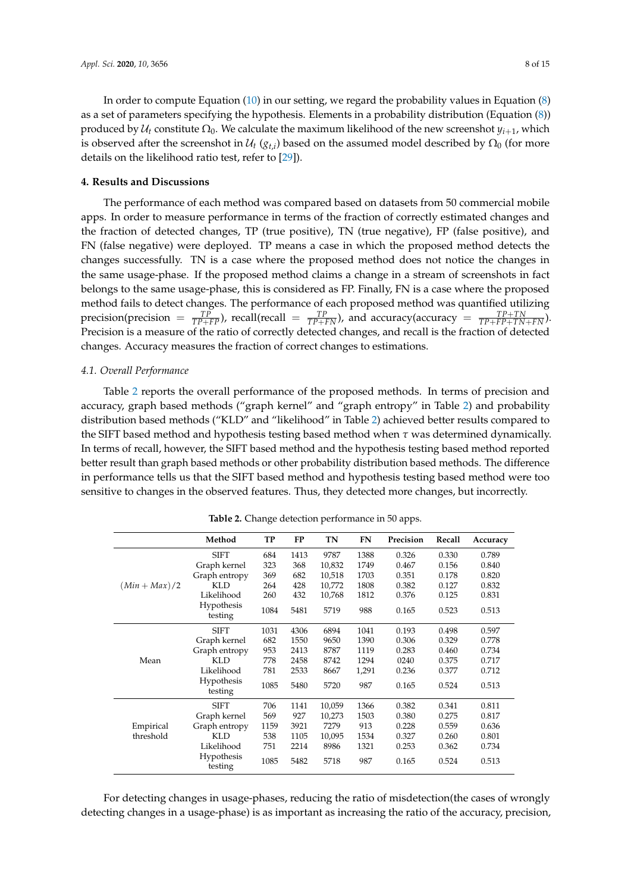In order to compute Equation [\(10\)](#page-6-6) in our setting, we regard the probability values in Equation [\(8\)](#page-6-5) as a set of parameters specifying the hypothesis. Elements in a probability distribution (Equation [\(8\)](#page-6-5)) produced by  $\mathcal{U}_t$  constitute  $\Omega_0$ . We calculate the maximum likelihood of the new screenshot  $y_{i+1}$ , which is observed after the screenshot in  $\mathcal{U}_t$  ( $g_{t,i}$ ) based on the assumed model described by  $\Omega_0$  (for more details on the likelihood ratio test, refer to [\[29\]](#page-13-23)).

## <span id="page-7-0"></span>**4. Results and Discussions**

The performance of each method was compared based on datasets from 50 commercial mobile apps. In order to measure performance in terms of the fraction of correctly estimated changes and the fraction of detected changes, TP (true positive), TN (true negative), FP (false positive), and FN (false negative) were deployed. TP means a case in which the proposed method detects the changes successfully. TN is a case where the proposed method does not notice the changes in the same usage-phase. If the proposed method claims a change in a stream of screenshots in fact belongs to the same usage-phase, this is considered as FP. Finally, FN is a case where the proposed method fails to detect changes. The performance of each proposed method was quantified utilizing  $\text{precision}(\text{precision} = \frac{TP}{TP+FP})$ ,  $\text{recall}(\text{recall} = \frac{TP}{TP+FN})$ , and  $\text{accuracy}(\text{accuracy} = \frac{TP+TN}{TP+FP+TN+FN})$ . Precision is a measure of the ratio of correctly detected changes, and recall is the fraction of detected changes. Accuracy measures the fraction of correct changes to estimations.

#### *4.1. Overall Performance*

Table [2](#page-7-1) reports the overall performance of the proposed methods. In terms of precision and accuracy, graph based methods ("graph kernel" and "graph entropy" in Table [2\)](#page-7-1) and probability distribution based methods ("KLD" and "likelihood" in Table [2\)](#page-7-1) achieved better results compared to the SIFT based method and hypothesis testing based method when *τ* was determined dynamically. In terms of recall, however, the SIFT based method and the hypothesis testing based method reported better result than graph based methods or other probability distribution based methods. The difference in performance tells us that the SIFT based method and hypothesis testing based method were too sensitive to changes in the observed features. Thus, they detected more changes, but incorrectly.

<span id="page-7-1"></span>

|               | Method                | TP   | <b>FP</b> | <b>TN</b> | <b>FN</b> | Precision | Recall | Accuracy |
|---------------|-----------------------|------|-----------|-----------|-----------|-----------|--------|----------|
|               | <b>SIFT</b>           | 684  | 1413      | 9787      | 1388      | 0.326     | 0.330  | 0.789    |
|               | Graph kernel          | 323  | 368       | 10,832    | 1749      | 0.467     | 0.156  | 0.840    |
|               | Graph entropy         | 369  | 682       | 10,518    | 1703      | 0.351     | 0.178  | 0.820    |
| $(Min+Max)/2$ | <b>KLD</b>            | 264  | 428       | 10,772    | 1808      | 0.382     | 0.127  | 0.832    |
|               | Likelihood            | 260  | 432       | 10,768    | 1812      | 0.376     | 0.125  | 0.831    |
|               | Hypothesis<br>testing | 1084 | 5481      | 5719      | 988       | 0.165     | 0.523  | 0.513    |
|               | <b>SIFT</b>           | 1031 | 4306      | 6894      | 1041      | 0.193     | 0.498  | 0.597    |
|               | Graph kernel          | 682  | 1550      | 9650      | 1390      | 0.306     | 0.329  | 0.778    |
|               | Graph entropy         | 953  | 2413      | 8787      | 1119      | 0.283     | 0.460  | 0.734    |
| Mean          | <b>KLD</b>            | 778  | 2458      | 8742      | 1294      | 0240      | 0.375  | 0.717    |
|               | Likelihood            | 781  | 2533      | 8667      | 1,291     | 0.236     | 0.377  | 0.712    |
|               | Hypothesis<br>testing | 1085 | 5480      | 5720      | 987       | 0.165     | 0.524  | 0.513    |
|               | <b>SIFT</b>           | 706  | 1141      | 10,059    | 1366      | 0.382     | 0.341  | 0.811    |
|               | Graph kernel          | 569  | 927       | 10,273    | 1503      | 0.380     | 0.275  | 0.817    |
| Empirical     | Graph entropy         | 1159 | 3921      | 7279      | 913       | 0.228     | 0.559  | 0.636    |
| threshold     | KLD                   | 538  | 1105      | 10,095    | 1534      | 0.327     | 0.260  | 0.801    |
|               | Likelihood            | 751  | 2214      | 8986      | 1321      | 0.253     | 0.362  | 0.734    |
|               | Hypothesis<br>testing | 1085 | 5482      | 5718      | 987       | 0.165     | 0.524  | 0.513    |

**Table 2.** Change detection performance in 50 apps.

For detecting changes in usage-phases, reducing the ratio of misdetection(the cases of wrongly detecting changes in a usage-phase) is as important as increasing the ratio of the accuracy, precision,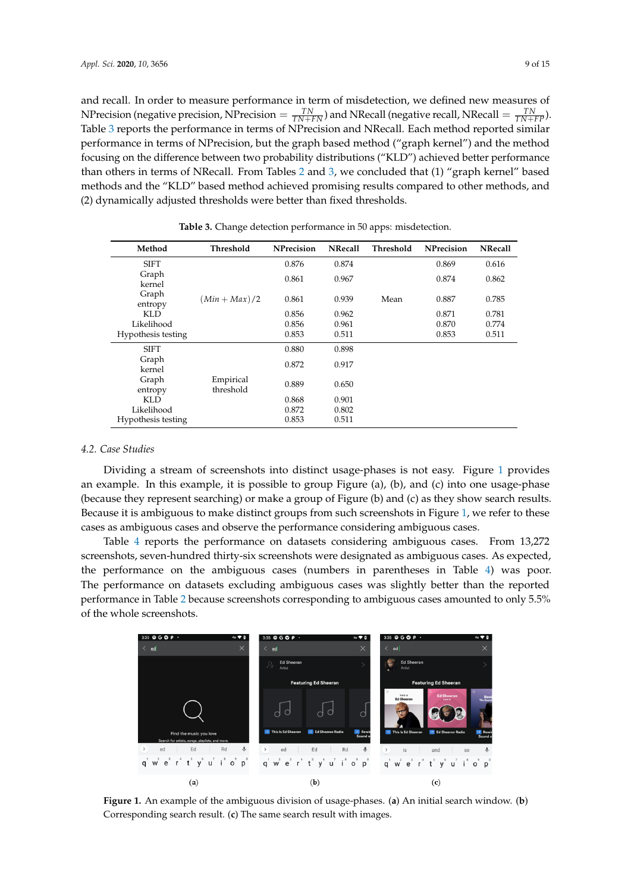and recall. In order to measure performance in term of misdetection, we defined new measures of NP recision (negative precision, NP recision  $= \frac{TN}{TN+FN}$ ) and NR ecall (negative recall, NR ecall  $= \frac{TN}{TN+FP}$ ). Table [3](#page-8-0) reports the performance in terms of NPrecision and NRecall. Each method reported similar performance in terms of NPrecision, but the graph based method ("graph kernel") and the method focusing on the difference between two probability distributions ("KLD") achieved better performance than others in terms of NRecall. From Tables [2](#page-7-1) and [3,](#page-8-0) we concluded that (1) "graph kernel" based methods and the "KLD" based method achieved promising results compared to other methods, and (2) dynamically adjusted thresholds were better than fixed thresholds.

<span id="page-8-0"></span>

| Method             | Threshold              | <b>NPrecision</b> | <b>NRecall</b> | Threshold | <b>NPrecision</b> | <b>NRecall</b> |
|--------------------|------------------------|-------------------|----------------|-----------|-------------------|----------------|
| <b>SIFT</b>        |                        | 0.876             | 0.874          |           | 0.869             | 0.616          |
| Graph<br>kernel    |                        | 0.861             | 0.967          |           | 0.874             | 0.862          |
| Graph<br>entropy   | $(Min+Max)/2$          | 0.861             | 0.939          | Mean      | 0.887             | 0.785          |
| KLD.               |                        | 0.856             | 0.962          |           | 0.871             | 0.781          |
| Likelihood         |                        | 0.856             | 0.961          |           | 0.870             | 0.774          |
| Hypothesis testing |                        | 0.853             | 0.511          |           | 0.853             | 0.511          |
| <b>SIFT</b>        |                        | 0.880             | 0.898          |           |                   |                |
| Graph<br>kernel    |                        | 0.872             | 0.917          |           |                   |                |
| Graph<br>entropy   | Empirical<br>threshold | 0.889             | 0.650          |           |                   |                |
| KLD                |                        | 0.868             | 0.901          |           |                   |                |
| Likelihood         |                        | 0.872             | 0.802          |           |                   |                |
| Hypothesis testing |                        | 0.853             | 0.511          |           |                   |                |

**Table 3.** Change detection performance in 50 apps: misdetection.

# *4.2. Case Studies*

Dividing a stream of screenshots into distinct usage-phases is not easy. Figure [1](#page-8-1) provides an example. In this example, it is possible to group Figure (a), (b), and (c) into one usage-phase (because they represent searching) or make a group of Figure (b) and (c) as they show search results. Because it is ambiguous to make distinct groups from such screenshots in Figure [1,](#page-8-1) we refer to these cases as ambiguous cases and observe the performance considering ambiguous cases.

Table [4](#page-9-0) reports the performance on datasets considering ambiguous cases. From 13,272 screenshots, seven-hundred thirty-six screenshots were designated as ambiguous cases. As expected, the performance on the ambiguous cases (numbers in parentheses in Table [4\)](#page-9-0) was poor. The performance on datasets excluding ambiguous cases was slightly better than the reported performance in Table [2](#page-7-1) because screenshots corresponding to ambiguous cases amounted to only 5.5% of the whole screenshots.

<span id="page-8-1"></span>

**Figure 1.** An example of the ambiguous division of usage-phases. (**a**) An initial search window. (**b**) Corresponding search result. (**c**) The same search result with images.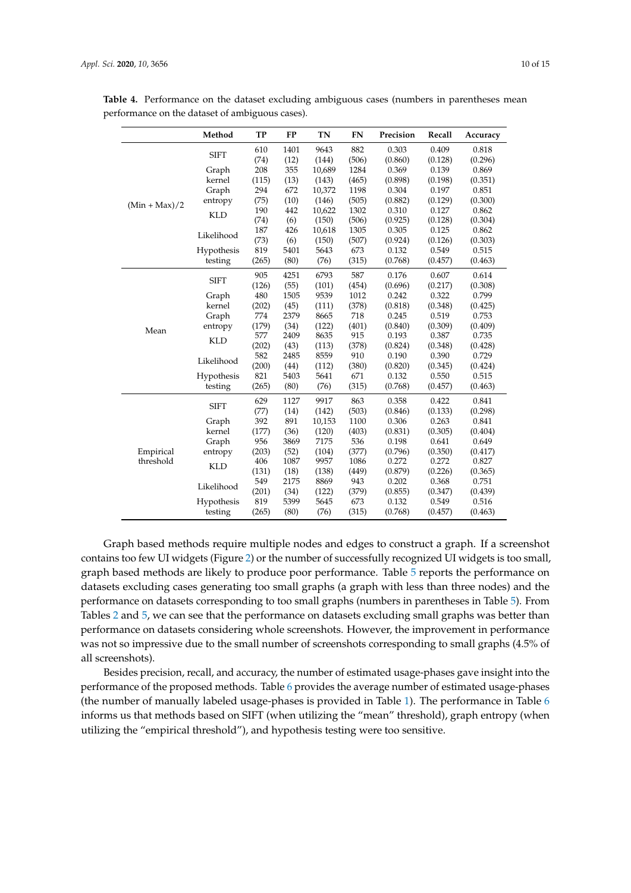|                 | Method      | <b>TP</b> | <b>FP</b> | <b>TN</b> | <b>FN</b> | Precision | Recall  | Accuracy |
|-----------------|-------------|-----------|-----------|-----------|-----------|-----------|---------|----------|
|                 | <b>SIFT</b> | 610       | 1401      | 9643      | 882       | 0.303     | 0.409   | 0.818    |
|                 |             | (74)      | (12)      | (144)     | (506)     | (0.860)   | (0.128) | (0.296)  |
|                 | Graph       | 208       | 355       | 10,689    | 1284      | 0.369     | 0.139   | 0.869    |
|                 | kernel      | (115)     | (13)      | (143)     | (465)     | (0.898)   | (0.198) | (0.351)  |
|                 | Graph       | 294       | 672       | 10,372    | 1198      | 0.304     | 0.197   | 0.851    |
| $(Min + Max)/2$ | entropy     | (75)      | (10)      | (146)     | (505)     | (0.882)   | (0.129) | (0.300)  |
|                 | <b>KLD</b>  | 190       | 442       | 10,622    | 1302      | 0.310     | 0.127   | 0.862    |
|                 |             | (74)      | (6)       | (150)     | (506)     | (0.925)   | (0.128) | (0.304)  |
|                 | Likelihood  | 187       | 426       | 10,618    | 1305      | 0.305     | 0.125   | 0.862    |
|                 |             | (73)      | (6)       | (150)     | (507)     | (0.924)   | (0.126) | (0.303)  |
|                 | Hypothesis  | 819       | 5401      | 5643      | 673       | 0.132     | 0.549   | 0.515    |
|                 | testing     | (265)     | (80)      | (76)      | (315)     | (0.768)   | (0.457) | (0.463)  |
|                 | <b>SIFT</b> | 905       | 4251      | 6793      | 587       | 0.176     | 0.607   | 0.614    |
|                 |             | (126)     | (55)      | (101)     | (454)     | (0.696)   | (0.217) | (0.308)  |
|                 | Graph       | 480       | 1505      | 9539      | 1012      | 0.242     | 0.322   | 0.799    |
|                 | kernel      | (202)     | (45)      | (111)     | (378)     | (0.818)   | (0.348) | (0.425)  |
|                 | Graph       | 774       | 2379      | 8665      | 718       | 0.245     | 0.519   | 0.753    |
| Mean            | entropy     | (179)     | (34)      | (122)     | (401)     | (0.840)   | (0.309) | (0.409)  |
|                 | <b>KLD</b>  | 577       | 2409      | 8635      | 915       | 0.193     | 0.387   | 0.735    |
|                 |             | (202)     | (43)      | (113)     | (378)     | (0.824)   | (0.348) | (0.428)  |
|                 | Likelihood  | 582       | 2485      | 8559      | 910       | 0.190     | 0.390   | 0.729    |
|                 |             | (200)     | (44)      | (112)     | (380)     | (0.820)   | (0.345) | (0.424)  |
|                 | Hypothesis  | 821       | 5403      | 5641      | 671       | 0.132     | 0.550   | 0.515    |
|                 | testing     | (265)     | (80)      | (76)      | (315)     | (0.768)   | (0.457) | (0.463)  |
|                 | <b>SIFT</b> | 629       | 1127      | 9917      | 863       | 0.358     | 0.422   | 0.841    |
|                 |             | (77)      | (14)      | (142)     | (503)     | (0.846)   | (0.133) | (0.298)  |
|                 | Graph       | 392       | 891       | 10,153    | 1100      | 0.306     | 0.263   | 0.841    |
|                 | kernel      | (177)     | (36)      | (120)     | (403)     | (0.831)   | (0.305) | (0.404)  |
|                 | Graph       | 956       | 3869      | 7175      | 536       | 0.198     | 0.641   | 0.649    |
| Empirical       | entropy     | (203)     | (52)      | (104)     | (377)     | (0.796)   | (0.350) | (0.417)  |
| threshold       | <b>KLD</b>  | 406       | 1087      | 9957      | 1086      | 0.272     | 0.272   | 0.827    |
|                 |             | (131)     | (18)      | (138)     | (449)     | (0.879)   | (0.226) | (0.365)  |
|                 | Likelihood  | 549       | 2175      | 8869      | 943       | 0.202     | 0.368   | 0.751    |
|                 |             | (201)     | (34)      | (122)     | (379)     | (0.855)   | (0.347) | (0.439)  |
|                 | Hypothesis  | 819       | 5399      | 5645      | 673       | 0.132     | 0.549   | 0.516    |
|                 | testing     | (265)     | (80)      | (76)      | (315)     | (0.768)   | (0.457) | (0.463)  |

<span id="page-9-0"></span>Table 4. Performance on the dataset excluding ambiguous cases (numbers in parentheses mean performance on the dataset of ambiguous cases).

Graph based methods require multiple nodes and edges to construct a graph. If a screenshot contains too few UI widgets (Figure [2\)](#page-10-0) or the number of successfully recognized UI widgets is too small, graph based methods are likely to produce poor performance. Table [5](#page-10-1) reports the performance on datasets excluding cases generating too small graphs (a graph with less than three nodes) and the performance on datasets corresponding to too small graphs (numbers in parentheses in Table [5\)](#page-10-1). From Tables [2](#page-7-1) and [5,](#page-10-1) we can see that the performance on datasets excluding small graphs was better than performance on datasets considering whole screenshots. However, the improvement in performance was not so impressive due to the small number of screenshots corresponding to small graphs (4.5% of all screenshots).

Besides precision, recall, and accuracy, the number of estimated usage-phases gave insight into the performance of the proposed methods. Table [6](#page-11-1) provides the average number of estimated usage-phases (the number of manually labeled usage-phases is provided in Table [1\)](#page-3-2). The performance in Table [6](#page-11-1) informs us that methods based on SIFT (when utilizing the "mean" threshold), graph entropy (when utilizing the "empirical threshold"), and hypothesis testing were too sensitive.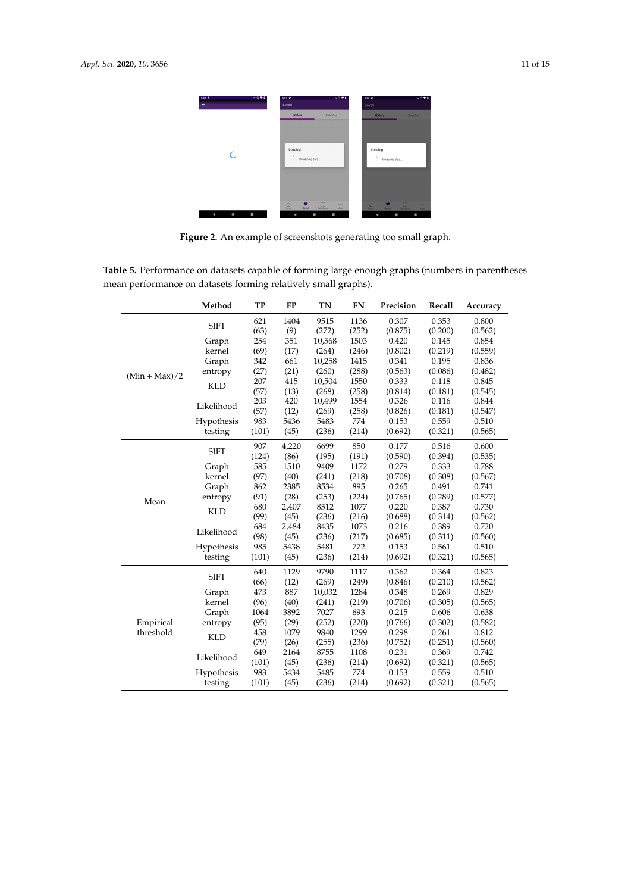<span id="page-10-0"></span>

**Figure 2.** An example of screenshots generating too small graph.

<span id="page-10-1"></span>**Table 5.** Performance on datasets capable of forming large enough graphs (numbers in parentheses mean performance on datasets forming relatively small graphs).

|                 | Method      | <b>TP</b> | <b>FP</b> | <b>TN</b> | <b>FN</b> | Precision | Recall  | Accuracy |
|-----------------|-------------|-----------|-----------|-----------|-----------|-----------|---------|----------|
|                 | <b>SIFT</b> | 621       | 1404      | 9515      | 1136      | 0.307     | 0.353   | 0.800    |
|                 |             | (63)      | (9)       | (272)     | (252)     | (0.875)   | (0.200) | (0.562)  |
|                 | Graph       | 254       | 351       | 10,568    | 1503      | 0.420     | 0.145   | 0.854    |
|                 | kernel      | (69)      | (17)      | (264)     | (246)     | (0.802)   | (0.219) | (0.559)  |
|                 | Graph       | 342       | 661       | 10,258    | 1415      | 0.341     | 0.195   | 0.836    |
| $(Min + Max)/2$ | entropy     | (27)      | (21)      | (260)     | (288)     | (0.563)   | (0.086) | (0.482)  |
|                 | <b>KLD</b>  | 207       | 415       | 10,504    | 1550      | 0.333     | 0.118   | 0.845    |
|                 |             | (57)      | (13)      | (268)     | (258)     | (0.814)   | (0.181) | (0.545)  |
|                 | Likelihood  | 203       | 420       | 10,499    | 1554      | 0.326     | 0.116   | 0.844    |
|                 |             | (57)      | (12)      | (269)     | (258)     | (0.826)   | (0.181) | (0.547)  |
|                 | Hypothesis  | 983       | 5436      | 5483      | 774       | 0.153     | 0.559   | 0.510    |
|                 | testing     | (101)     | (45)      | (236)     | (214)     | (0.692)   | (0.321) | (0.565)  |
|                 | <b>SIFT</b> | 907       | 4,220     | 6699      | 850       | 0.177     | 0.516   | 0.600    |
|                 |             | (124)     | (86)      | (195)     | (191)     | (0.590)   | (0.394) | (0.535)  |
|                 | Graph       | 585       | 1510      | 9409      | 1172      | 0.279     | 0.333   | 0.788    |
|                 | kernel      | (97)      | (40)      | (241)     | (218)     | (0.708)   | (0.308) | (0.567)  |
|                 | Graph       | 862       | 2385      | 8534      | 895       | 0.265     | 0.491   | 0.741    |
| Mean            | entropy     | (91)      | (28)      | (253)     | (224)     | (0.765)   | (0.289) | (0.577)  |
|                 | <b>KLD</b>  | 680       | 2,407     | 8512      | 1077      | 0.220     | 0.387   | 0.730    |
|                 |             | (99)      | (45)      | (236)     | (216)     | (0.688)   | (0.314) | (0.562)  |
|                 | Likelihood  | 684       | 2,484     | 8435      | 1073      | 0.216     | 0.389   | 0.720    |
|                 |             | (98)      | (45)      | (236)     | (217)     | (0.685)   | (0.311) | (0.560)  |
|                 | Hypothesis  | 985       | 5438      | 5481      | 772       | 0.153     | 0.561   | 0.510    |
|                 | testing     | (101)     | (45)      | (236)     | (214)     | (0.692)   | (0.321) | (0.565)  |
|                 | <b>SIFT</b> | 640       | 1129      | 9790      | 1117      | 0.362     | 0.364   | 0.823    |
|                 |             | (66)      | (12)      | (269)     | (249)     | (0.846)   | (0.210) | (0.562)  |
|                 | Graph       | 473       | 887       | 10,032    | 1284      | 0.348     | 0.269   | 0.829    |
|                 | kernel      | (96)      | (40)      | (241)     | (219)     | (0.706)   | (0.305) | (0.565)  |
|                 | Graph       | 1064      | 3892      | 7027      | 693       | 0.215     | 0.606   | 0.638    |
| Empirical       | entropy     | (95)      | (29)      | (252)     | (220)     | (0.766)   | (0.302) | (0.582)  |
| threshold       | <b>KLD</b>  | 458       | 1079      | 9840      | 1299      | 0.298     | 0.261   | 0.812    |
|                 |             | (79)      | (26)      | (255)     | (236)     | (0.752)   | (0.251) | (0.560)  |
|                 | Likelihood  | 649       | 2164      | 8755      | 1108      | 0.231     | 0.369   | 0.742    |
|                 |             | (101)     | (45)      | (236)     | (214)     | (0.692)   | (0.321) | (0.565)  |
|                 | Hypothesis  | 983       | 5434      | 5485      | 774       | 0.153     | 0.559   | 0.510    |
|                 | testing     | (101)     | (45)      | (236)     | (214)     | (0.692)   | (0.321) | (0.565)  |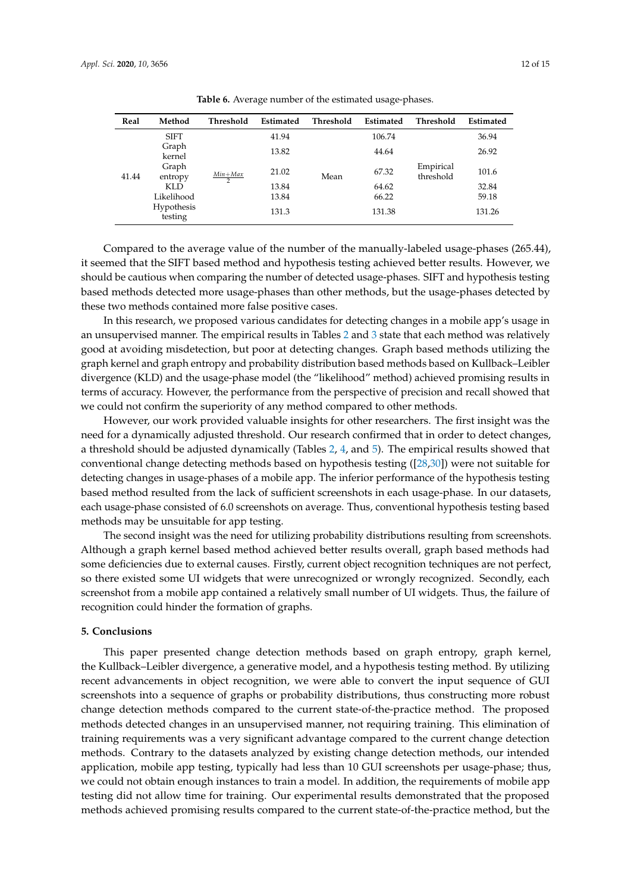<span id="page-11-1"></span>

| Real  | Method                | Threshold      | Estimated | Threshold | Estimated | Threshold              | Estimated |
|-------|-----------------------|----------------|-----------|-----------|-----------|------------------------|-----------|
|       | <b>SIFT</b>           |                | 41.94     |           | 106.74    |                        | 36.94     |
|       | Graph<br>kernel       |                | 13.82     |           | 44.64     |                        | 26.92     |
| 41.44 | Graph<br>entropy      | $Min+Max$<br>2 | 21.02     | Mean      | 67.32     | Empirical<br>threshold | 101.6     |
|       | KLD.                  |                | 13.84     |           | 64.62     |                        | 32.84     |
|       | Likelihood            |                | 13.84     |           | 66.22     |                        | 59.18     |
|       | Hypothesis<br>testing |                | 131.3     |           | 131.38    |                        | 131.26    |

**Table 6.** Average number of the estimated usage-phases.

Compared to the average value of the number of the manually-labeled usage-phases (265.44), it seemed that the SIFT based method and hypothesis testing achieved better results. However, we should be cautious when comparing the number of detected usage-phases. SIFT and hypothesis testing based methods detected more usage-phases than other methods, but the usage-phases detected by these two methods contained more false positive cases.

In this research, we proposed various candidates for detecting changes in a mobile app's usage in an unsupervised manner. The empirical results in Tables [2](#page-7-1) and [3](#page-8-0) state that each method was relatively good at avoiding misdetection, but poor at detecting changes. Graph based methods utilizing the graph kernel and graph entropy and probability distribution based methods based on Kullback–Leibler divergence (KLD) and the usage-phase model (the "likelihood" method) achieved promising results in terms of accuracy. However, the performance from the perspective of precision and recall showed that we could not confirm the superiority of any method compared to other methods.

However, our work provided valuable insights for other researchers. The first insight was the need for a dynamically adjusted threshold. Our research confirmed that in order to detect changes, a threshold should be adjusted dynamically (Tables [2,](#page-7-1) [4,](#page-9-0) and [5\)](#page-10-1). The empirical results showed that conventional change detecting methods based on hypothesis testing ([\[28](#page-13-22)[,30\]](#page-13-24)) were not suitable for detecting changes in usage-phases of a mobile app. The inferior performance of the hypothesis testing based method resulted from the lack of sufficient screenshots in each usage-phase. In our datasets, each usage-phase consisted of 6.0 screenshots on average. Thus, conventional hypothesis testing based methods may be unsuitable for app testing.

The second insight was the need for utilizing probability distributions resulting from screenshots. Although a graph kernel based method achieved better results overall, graph based methods had some deficiencies due to external causes. Firstly, current object recognition techniques are not perfect, so there existed some UI widgets that were unrecognized or wrongly recognized. Secondly, each screenshot from a mobile app contained a relatively small number of UI widgets. Thus, the failure of recognition could hinder the formation of graphs.

# <span id="page-11-0"></span>**5. Conclusions**

This paper presented change detection methods based on graph entropy, graph kernel, the Kullback–Leibler divergence, a generative model, and a hypothesis testing method. By utilizing recent advancements in object recognition, we were able to convert the input sequence of GUI screenshots into a sequence of graphs or probability distributions, thus constructing more robust change detection methods compared to the current state-of-the-practice method. The proposed methods detected changes in an unsupervised manner, not requiring training. This elimination of training requirements was a very significant advantage compared to the current change detection methods. Contrary to the datasets analyzed by existing change detection methods, our intended application, mobile app testing, typically had less than 10 GUI screenshots per usage-phase; thus, we could not obtain enough instances to train a model. In addition, the requirements of mobile app testing did not allow time for training. Our experimental results demonstrated that the proposed methods achieved promising results compared to the current state-of-the-practice method, but the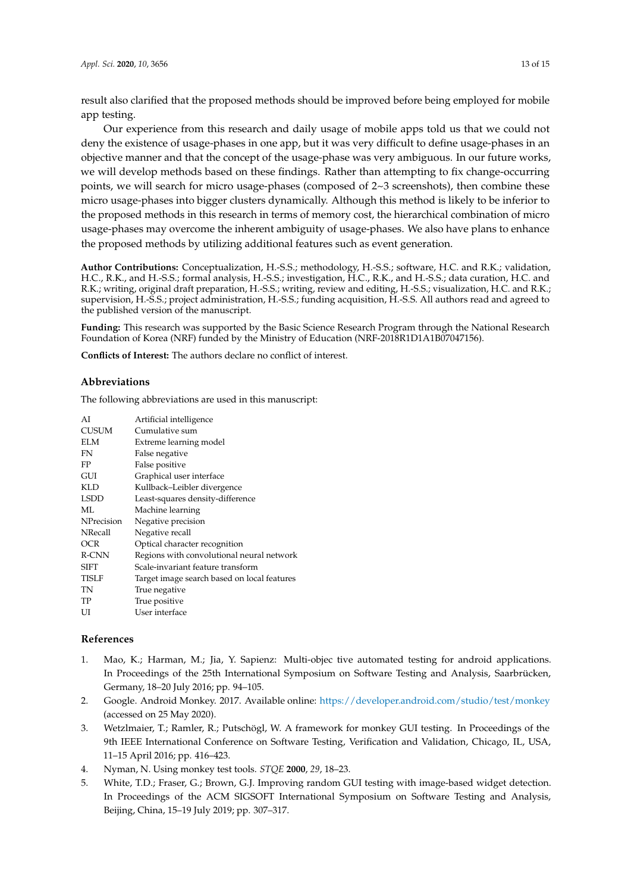result also clarified that the proposed methods should be improved before being employed for mobile app testing.

Our experience from this research and daily usage of mobile apps told us that we could not deny the existence of usage-phases in one app, but it was very difficult to define usage-phases in an objective manner and that the concept of the usage-phase was very ambiguous. In our future works, we will develop methods based on these findings. Rather than attempting to fix change-occurring points, we will search for micro usage-phases (composed of  $2~3$  screenshots), then combine these micro usage-phases into bigger clusters dynamically. Although this method is likely to be inferior to the proposed methods in this research in terms of memory cost, the hierarchical combination of micro usage-phases may overcome the inherent ambiguity of usage-phases. We also have plans to enhance the proposed methods by utilizing additional features such as event generation.

**Author Contributions:** Conceptualization, H.-S.S.; methodology, H.-S.S.; software, H.C. and R.K.; validation, H.C., R.K., and H.-S.S.; formal analysis, H.-S.S.; investigation, H.C., R.K., and H.-S.S.; data curation, H.C. and R.K.; writing, original draft preparation, H.-S.S.; writing, review and editing, H.-S.S.; visualization, H.C. and R.K.; supervision, H.-S.S.; project administration, H.-S.S.; funding acquisition, H.-S.S. All authors read and agreed to the published version of the manuscript.

**Funding:** This research was supported by the Basic Science Research Program through the National Research Foundation of Korea (NRF) funded by the Ministry of Education (NRF-2018R1D1A1B07047156).

**Conflicts of Interest:** The authors declare no conflict of interest.

# **Abbreviations**

The following abbreviations are used in this manuscript:

| AI             | Artificial intelligence                     |
|----------------|---------------------------------------------|
| <b>CUSUM</b>   | Cumulative sum                              |
| ELM            | Extreme learning model                      |
| FN             | False negative                              |
| FP             | False positive                              |
| GUI            | Graphical user interface                    |
| KLD            | Kullback-Leibler divergence                 |
| <b>LSDD</b>    | Least-squares density-difference            |
| ML             | Machine learning                            |
| NPrecision     | Negative precision                          |
|                |                                             |
| <b>NRecall</b> | Negative recall                             |
| OCR            | Optical character recognition               |
| R-CNN          | Regions with convolutional neural network   |
| SIFT           | Scale-invariant feature transform           |
| TISLF          | Target image search based on local features |
| TN             | True negative                               |
| TP             | True positive                               |

# **References**

- <span id="page-12-0"></span>1. Mao, K.; Harman, M.; Jia, Y. Sapienz: Multi-objec tive automated testing for android applications. In Proceedings of the 25th International Symposium on Software Testing and Analysis, Saarbrücken, Germany, 18–20 July 2016; pp. 94–105.
- <span id="page-12-1"></span>2. Google. Android Monkey. 2017. Available online: <https://developer.android.com/studio/test/monkey> (accessed on 25 May 2020).
- <span id="page-12-2"></span>3. Wetzlmaier, T.; Ramler, R.; Putschögl, W. A framework for monkey GUI testing. In Proceedings of the 9th IEEE International Conference on Software Testing, Verification and Validation, Chicago, IL, USA, 11–15 April 2016; pp. 416–423.
- <span id="page-12-3"></span>4. Nyman, N. Using monkey test tools. *STQE* **2000**, *29*, 18–23.
- <span id="page-12-4"></span>5. White, T.D.; Fraser, G.; Brown, G.J. Improving random GUI testing with image-based widget detection. In Proceedings of the ACM SIGSOFT International Symposium on Software Testing and Analysis, Beijing, China, 15–19 July 2019; pp. 307–317.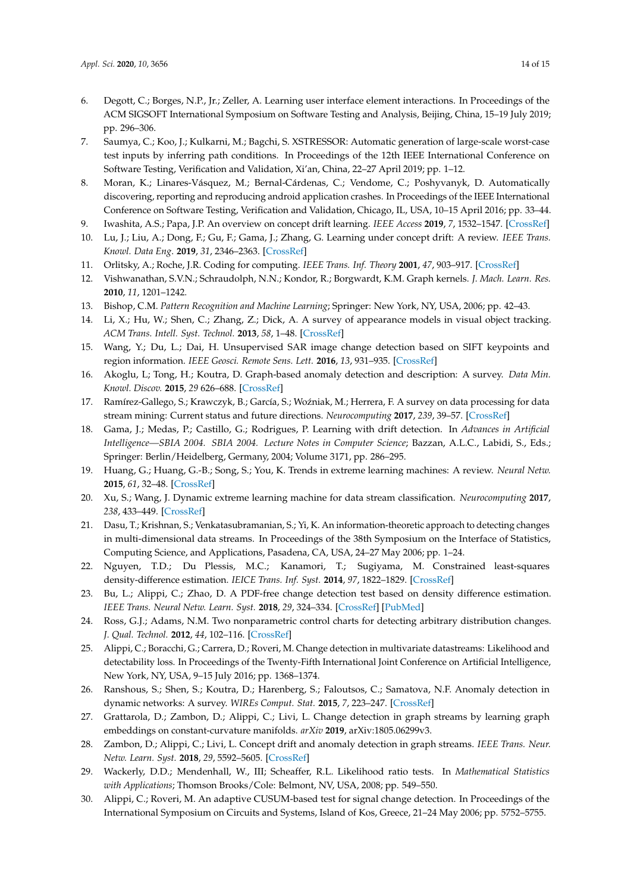- <span id="page-13-0"></span>6. Degott, C.; Borges, N.P., Jr.; Zeller, A. Learning user interface element interactions. In Proceedings of the ACM SIGSOFT International Symposium on Software Testing and Analysis, Beijing, China, 15–19 July 2019; pp. 296–306.
- <span id="page-13-1"></span>7. Saumya, C.; Koo, J.; Kulkarni, M.; Bagchi, S. XSTRESSOR: Automatic generation of large-scale worst-case test inputs by inferring path conditions. In Proceedings of the 12th IEEE International Conference on Software Testing, Verification and Validation, Xi'an, China, 22–27 April 2019; pp. 1–12.
- <span id="page-13-2"></span>8. Moran, K.; Linares-Vásquez, M.; Bernal-Cárdenas, C.; Vendome, C.; Poshyvanyk, D. Automatically discovering, reporting and reproducing android application crashes. In Proceedings of the IEEE International Conference on Software Testing, Verification and Validation, Chicago, IL, USA, 10–15 April 2016; pp. 33–44.
- <span id="page-13-3"></span>9. Iwashita, A.S.; Papa, J.P. An overview on concept drift learning. *IEEE Access* **2019**, *7*, 1532–1547. [\[CrossRef\]](http://dx.doi.org/10.1109/ACCESS.2018.2886026)
- <span id="page-13-4"></span>10. Lu, J.; Liu, A.; Dong, F.; Gu, F.; Gama, J.; Zhang, G. Learning under concept drift: A review. *IEEE Trans. Knowl. Data Eng*. **2019**, *31*, 2346–2363. [\[CrossRef\]](http://dx.doi.org/10.1109/TKDE.2018.2876857)
- <span id="page-13-5"></span>11. Orlitsky, A.; Roche, J.R. Coding for computing. *IEEE Trans. Inf. Theory* **2001**, *47*, 903–917. [\[CrossRef\]](http://dx.doi.org/10.1109/18.915643)
- <span id="page-13-6"></span>12. Vishwanathan, S.V.N.; Schraudolph, N.N.; Kondor, R.; Borgwardt, K.M. Graph kernels. *J. Mach. Learn. Res.* **2010**, *11*, 1201–1242.
- <span id="page-13-7"></span>13. Bishop, C.M. *Pattern Recognition and Machine Learning*; Springer: New York, NY, USA, 2006; pp. 42–43.
- <span id="page-13-8"></span>14. Li, X.; Hu, W.; Shen, C.; Zhang, Z.; Dick, A. A survey of appearance models in visual object tracking. *ACM Trans. Intell. Syst. Technol.* **2013**, *58*, 1–48. [\[CrossRef\]](http://dx.doi.org/10.1145/2508037.2508039)
- <span id="page-13-9"></span>15. Wang, Y.; Du, L.; Dai, H. Unsupervised SAR image change detection based on SIFT keypoints and region information. *IEEE Geosci. Remote Sens. Lett.* **2016**, *13*, 931–935. [\[CrossRef\]](http://dx.doi.org/10.1109/LGRS.2016.2554606)
- <span id="page-13-10"></span>16. Akoglu, L; Tong, H.; Koutra, D. Graph-based anomaly detection and description: A survey. *Data Min. Knowl. Discov.* **2015**, *29* 626–688. [\[CrossRef\]](http://dx.doi.org/10.1007/s10618-014-0365-y)
- <span id="page-13-11"></span>17. Ramírez-Gallego, S.; Krawczyk, B.; García, S.; Woźniak, M.; Herrera, F. A survey on data processing for data stream mining: Current status and future directions. *Neurocomputing* **2017**, *239*, 39–57. [\[CrossRef\]](http://dx.doi.org/10.1016/j.neucom.2017.01.078)
- <span id="page-13-12"></span>18. Gama, J.; Medas, P.; Castillo, G.; Rodrigues, P. Learning with drift detection. In *Advances in Artificial Intelligence—SBIA 2004. SBIA 2004. Lecture Notes in Computer Science*; Bazzan, A.L.C., Labidi, S., Eds.; Springer: Berlin/Heidelberg, Germany, 2004; Volume 3171, pp. 286–295.
- <span id="page-13-13"></span>19. Huang, G.; Huang, G.-B.; Song, S.; You, K. Trends in extreme learning machines: A review. *Neural Netw.* **2015**, *61*, 32–48. [\[CrossRef\]](http://dx.doi.org/10.1016/j.neunet.2014.10.001)
- <span id="page-13-14"></span>20. Xu, S.; Wang, J. Dynamic extreme learning machine for data stream classification. *Neurocomputing* **2017**, *238*, 433–449. [\[CrossRef\]](http://dx.doi.org/10.1016/j.neucom.2016.12.078)
- <span id="page-13-15"></span>21. Dasu, T.; Krishnan, S.; Venkatasubramanian, S.; Yi, K. An information-theoretic approach to detecting changes in multi-dimensional data streams. In Proceedings of the 38th Symposium on the Interface of Statistics, Computing Science, and Applications, Pasadena, CA, USA, 24–27 May 2006; pp. 1–24.
- <span id="page-13-16"></span>22. Nguyen, T.D.; Du Plessis, M.C.; Kanamori, T.; Sugiyama, M. Constrained least-squares density-difference estimation. *IEICE Trans. Inf. Syst.* **2014**, *97*, 1822–1829. [\[CrossRef\]](http://dx.doi.org/10.1587/transinf.E97.D.1822)
- <span id="page-13-17"></span>23. Bu, L.; Alippi, C.; Zhao, D. A PDF-free change detection test based on density difference estimation. *IEEE Trans. Neural Netw. Learn. Syst.* **2018**, *29*, 324–334. [\[CrossRef\]](http://dx.doi.org/10.1109/TNNLS.2016.2619909) [\[PubMed\]](http://www.ncbi.nlm.nih.gov/pubmed/28113960)
- <span id="page-13-18"></span>24. Ross, G.J.; Adams, N.M. Two nonparametric control charts for detecting arbitrary distribution changes. *J. Qual. Technol.* **2012**, *44*, 102–116. [\[CrossRef\]](http://dx.doi.org/10.1080/00224065.2012.11917887)
- <span id="page-13-19"></span>25. Alippi, C.; Boracchi, G.; Carrera, D.; Roveri, M. Change detection in multivariate datastreams: Likelihood and detectability loss. In Proceedings of the Twenty-Fifth International Joint Conference on Artificial Intelligence, New York, NY, USA, 9–15 July 2016; pp. 1368–1374.
- <span id="page-13-20"></span>26. Ranshous, S.; Shen, S.; Koutra, D.; Harenberg, S.; Faloutsos, C.; Samatova, N.F. Anomaly detection in dynamic networks: A survey. *WIREs Comput. Stat.* **2015**, *7*, 223–247. [\[CrossRef\]](http://dx.doi.org/10.1002/wics.1347)
- <span id="page-13-21"></span>27. Grattarola, D.; Zambon, D.; Alippi, C.; Livi, L. Change detection in graph streams by learning graph embeddings on constant-curvature manifolds. *arXiv* **2019**, arXiv:1805.06299v3.
- <span id="page-13-22"></span>28. Zambon, D.; Alippi, C.; Livi, L. Concept drift and anomaly detection in graph streams. *IEEE Trans. Neur. Netw. Learn. Syst.* **2018**, *29*, 5592–5605. [\[CrossRef\]](http://dx.doi.org/10.1109/TNNLS.2018.2804443)
- <span id="page-13-23"></span>29. Wackerly, D.D.; Mendenhall, W., III; Scheaffer, R.L. Likelihood ratio tests. In *Mathematical Statistics with Applications*; Thomson Brooks/Cole: Belmont, NV, USA, 2008; pp. 549–550.
- <span id="page-13-24"></span>30. Alippi, C.; Roveri, M. An adaptive CUSUM-based test for signal change detection. In Proceedings of the International Symposium on Circuits and Systems, Island of Kos, Greece, 21–24 May 2006; pp. 5752–5755.